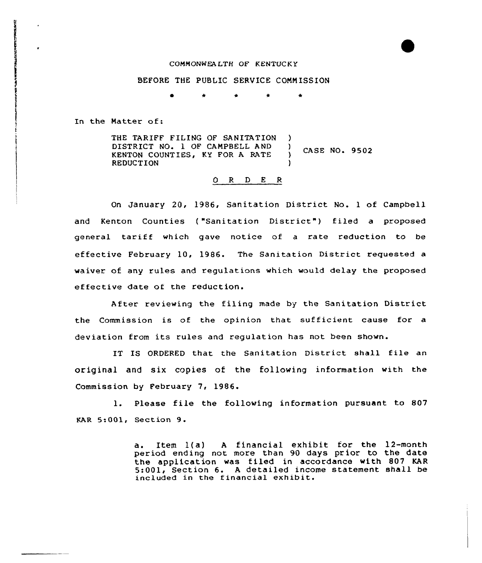## COMMONWEALTH OF KENTUCKY

## BEFORE THE PUBLIC SERVICE COMMISSION

\* \* \*

In the Matter of:

THE TARIFF FILING OF SANITATION )<br>DISTRICT NO. 1 OF CAMPBELL AND ) DISTRICT NO. 1 OF CAMPBELL AND )<br>KENTON COUNTIES. KY FOR A RATE ) CASE NO. 9502 KENTON COUNT IES, KY FOR <sup>A</sup> RATE **REDUCTION** 

## O R D E R

On January 20, 1986, Sanitation District No. <sup>1</sup> of Campbell and Kenton Counties ("Sanitation District") filed a proposed general tariff which gave notice of a rate reduction to be effective February 10, 1986. The Sanitation District requested a waiver of any rules and regulations which would delay the proposed effective date of the reduction.

After reviewing the filing made by the Sanitation District the Commission is of the opinion that sufficient cause for a deviation from its rules and regulation has not been shown.

IT IS ORDERED that the Sanitation District shall file an original and six copies of the following information with the Commiss ion by February 7, 1986.

l. Please file the following information pursuant to <sup>807</sup> KAR 5:001, Sect ion 9.

> a. Item 1(a) <sup>A</sup> financial exhibit for the 12-month period ending not more than 90 days prior to the date the application was filed in accordance with 807 KAR 5:001, Section 6. A detailed income statement shall be included in the financial exhibit.